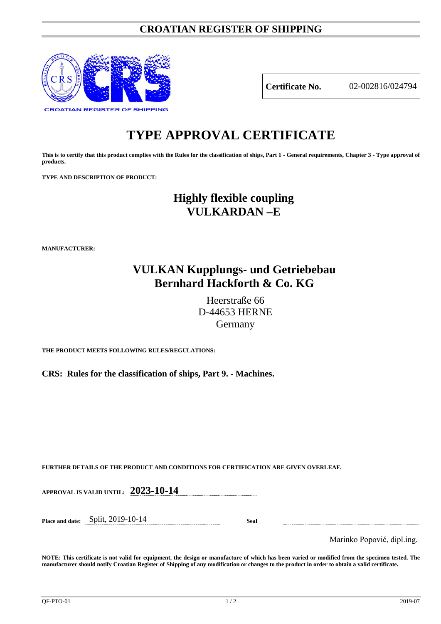### **CROATIAN REGISTER OF SHIPPING**



**Certificate No.** 02-002816/024794

# **TYPE APPROVAL CERTIFICATE**

**This is to certify that this product complies with the Rules for the classification of ships, Part 1 - General requirements, Chapter 3 - Type approval of products.**

**TYPE AND DESCRIPTION OF PRODUCT:** 

## **Highly flexible coupling VULKARDAN –E**

**MANUFACTURER:**

### **VULKAN Kupplungs- und Getriebebau Bernhard Hackforth & Co. KG**

Heerstraße 66 D-44653 HERNE Germany

**THE PRODUCT MEETS FOLLOWING RULES/REGULATIONS:**

**CRS: Rules for the classification of ships, Part 9. - Machines.**

**FURTHER DETAILS OF THE PRODUCT AND CONDITIONS FOR CERTIFICATION ARE GIVEN OVERLEAF.**

**APPROVAL IS VALID UNTIL: 2023-10-14**

**Place and date:** Split, 2019-10-14 **Seal**

Marinko Popović, dipl.ing.

**NOTE: This certificate is not valid for equipment, the design or manufacture of which has been varied or modified from the specimen tested. The manufacturer should notify Croatian Register of Shipping of any modification or changes to the product in order to obtain a valid certificate.**